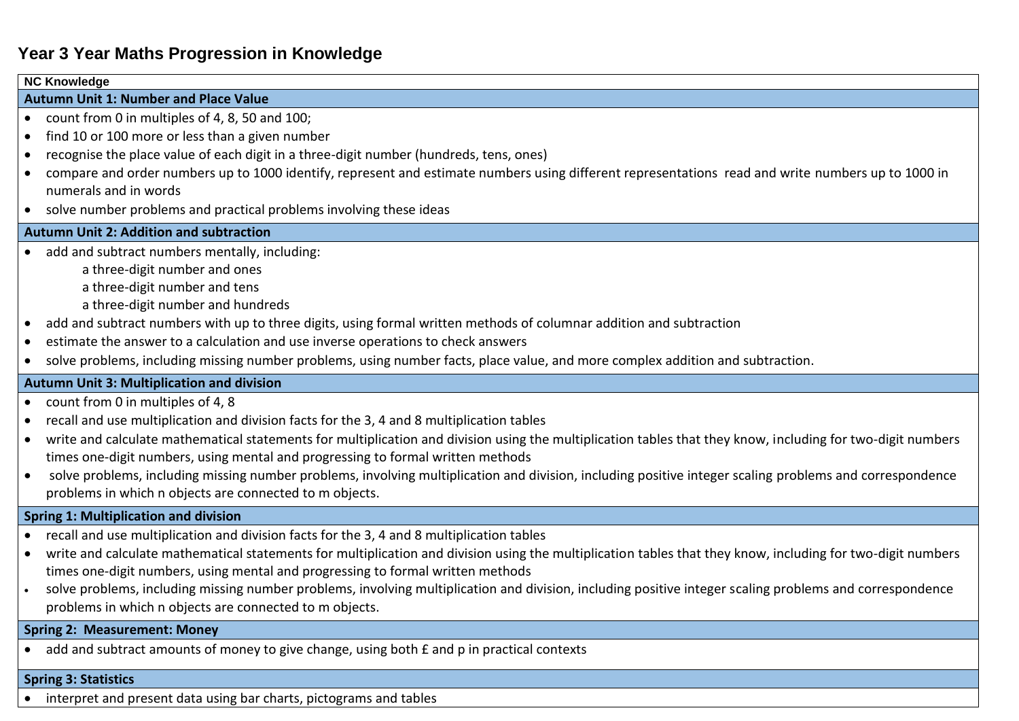# **Year 3 Year Maths Progression in Knowledge**

| <b>NC Knowledge</b>                               |                                                                                                                                                             |  |
|---------------------------------------------------|-------------------------------------------------------------------------------------------------------------------------------------------------------------|--|
| <b>Autumn Unit 1: Number and Place Value</b>      |                                                                                                                                                             |  |
| $\bullet$                                         | count from 0 in multiples of 4, 8, 50 and 100;                                                                                                              |  |
| $\bullet$                                         | find 10 or 100 more or less than a given number                                                                                                             |  |
|                                                   | recognise the place value of each digit in a three-digit number (hundreds, tens, ones)                                                                      |  |
|                                                   | compare and order numbers up to 1000 identify, represent and estimate numbers using different representations read and write numbers up to 1000 in          |  |
|                                                   | numerals and in words                                                                                                                                       |  |
| $\bullet$                                         | solve number problems and practical problems involving these ideas                                                                                          |  |
| <b>Autumn Unit 2: Addition and subtraction</b>    |                                                                                                                                                             |  |
|                                                   | add and subtract numbers mentally, including:                                                                                                               |  |
|                                                   | a three-digit number and ones                                                                                                                               |  |
|                                                   | a three-digit number and tens                                                                                                                               |  |
|                                                   | a three-digit number and hundreds                                                                                                                           |  |
| $\bullet$                                         | add and subtract numbers with up to three digits, using formal written methods of columnar addition and subtraction                                         |  |
|                                                   | estimate the answer to a calculation and use inverse operations to check answers                                                                            |  |
|                                                   | solve problems, including missing number problems, using number facts, place value, and more complex addition and subtraction.                              |  |
| <b>Autumn Unit 3: Multiplication and division</b> |                                                                                                                                                             |  |
| ٠                                                 | count from 0 in multiples of 4, 8                                                                                                                           |  |
| ٠                                                 | recall and use multiplication and division facts for the 3, 4 and 8 multiplication tables                                                                   |  |
| $\bullet$                                         | write and calculate mathematical statements for multiplication and division using the multiplication tables that they know, including for two-digit numbers |  |
|                                                   | times one-digit numbers, using mental and progressing to formal written methods                                                                             |  |
| $\bullet$                                         | solve problems, including missing number problems, involving multiplication and division, including positive integer scaling problems and correspondence    |  |
|                                                   | problems in which n objects are connected to m objects.                                                                                                     |  |
| <b>Spring 1: Multiplication and division</b>      |                                                                                                                                                             |  |
|                                                   | recall and use multiplication and division facts for the 3, 4 and 8 multiplication tables                                                                   |  |
| $\bullet$                                         | write and calculate mathematical statements for multiplication and division using the multiplication tables that they know, including for two-digit numbers |  |
|                                                   | times one-digit numbers, using mental and progressing to formal written methods                                                                             |  |
|                                                   | solve problems, including missing number problems, involving multiplication and division, including positive integer scaling problems and correspondence    |  |
|                                                   | problems in which n objects are connected to m objects.                                                                                                     |  |
| <b>Spring 2: Measurement: Money</b>               |                                                                                                                                                             |  |
|                                                   | add and subtract amounts of money to give change, using both £ and p in practical contexts                                                                  |  |
|                                                   | <b>Spring 3: Statistics</b>                                                                                                                                 |  |

• interpret and present data using bar charts, pictograms and tables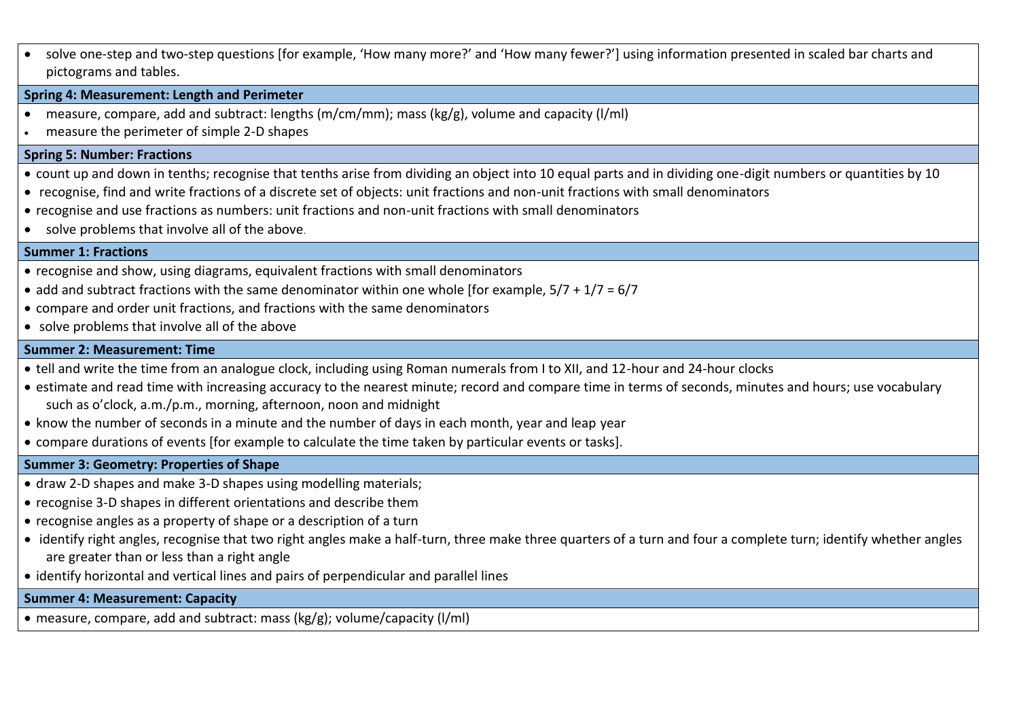solve one-step and two-step questions [for example, 'How many more?' and 'How many fewer?'] using information presented in scaled bar charts and pictograms and tables.

#### **Spring 4: Measurement: Length and Perimeter**

- measure, compare, add and subtract: lengths (m/cm/mm); mass (kg/g), volume and capacity (l/ml)
- measure the perimeter of simple 2-D shapes

#### **Spring 5: Number: Fractions**

- count up and down in tenths; recognise that tenths arise from dividing an object into 10 equal parts and in dividing one-digit numbers or quantities by 10
- recognise, find and write fractions of a discrete set of objects: unit fractions and non-unit fractions with small denominators
- recognise and use fractions as numbers: unit fractions and non-unit fractions with small denominators
- solve problems that involve all of the above.

## **Summer 1: Fractions**

- recognise and show, using diagrams, equivalent fractions with small denominators
- add and subtract fractions with the same denominator within one whole [for example,  $5/7 + 1/7 = 6/7$
- compare and order unit fractions, and fractions with the same denominators
- solve problems that involve all of the above

## **Summer 2: Measurement: Time**

- tell and write the time from an analogue clock, including using Roman numerals from I to XII, and 12-hour and 24-hour clocks
- estimate and read time with increasing accuracy to the nearest minute; record and compare time in terms of seconds, minutes and hours; use vocabulary such as o'clock, a.m./p.m., morning, afternoon, noon and midnight
- know the number of seconds in a minute and the number of days in each month, year and leap year
- compare durations of events [for example to calculate the time taken by particular events or tasks].

## **Summer 3: Geometry: Properties of Shape**

- draw 2-D shapes and make 3-D shapes using modelling materials;
- recognise 3-D shapes in different orientations and describe them
- recognise angles as a property of shape or a description of a turn
- identify right angles, recognise that two right angles make a half-turn, three make three quarters of a turn and four a complete turn; identify whether angles are greater than or less than a right angle
- identify horizontal and vertical lines and pairs of perpendicular and parallel lines

## **Summer 4: Measurement: Capacity**

measure, compare, add and subtract: mass (kg/g); volume/capacity (l/ml)